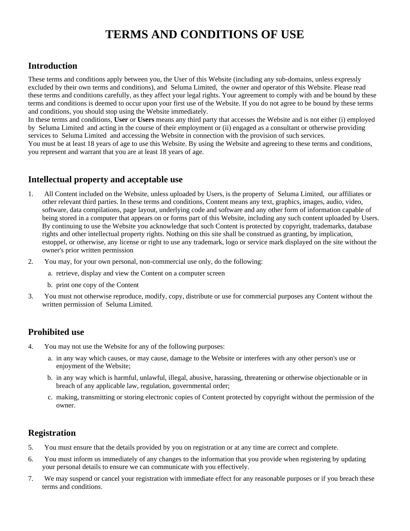# **TERMS AND CONDITIONS OF USE**

# **Introduction**

These terms and conditions apply between you, the User of this Website (including any sub-domains, unless expressly excluded by their own terms and conditions), and Seluma Limited, the owner and operator of this Website. Please read these terms and conditions carefully, as they affect your legal rights. Your agreement to comply with and be bound by these terms and conditions is deemed to occur upon your first use of the Website. If you do not agree to be bound by these terms and conditions, you should stop using the Website immediately.

In these terms and conditions, **User** or **Users** means any third party that accesses the Website and is not either (i) employed by Seluma Limited and acting in the course of their employment or (ii) engaged as a consultant or otherwise providing services to Seluma Limited and accessing the Website in connection with the provision of such services.

You must be at least 18 years of age to use this Website. By using the Website and agreeing to these terms and conditions, you represent and warrant that you are at least 18 years of age.

# **Intellectual property and acceptable use**

- 1. All Content included on the Website, unless uploaded by Users, is the property of Seluma Limited, our affiliates or other relevant third parties. In these terms and conditions, Content means any text, graphics, images, audio, video, software, data compilations, page layout, underlying code and software and any other form of information capable of being stored in a computer that appears on or forms part of this Website, including any such content uploaded by Users. By continuing to use the Website you acknowledge that such Content is protected by copyright, trademarks, database rights and other intellectual property rights. Nothing on this site shall be construed as granting, by implication, estoppel, or otherwise, any license or right to use any trademark, logo or service mark displayed on the site without the owner's prior written permission
- 2. You may, for your own personal, non-commercial use only, do the following:
	- a. retrieve, display and view the Content on a computer screen
	- b. print one copy of the Content
- 3. You must not otherwise reproduce, modify, copy, distribute or use for commercial purposes any Content without the written permission of Seluma Limited.

# **Prohibited use**

- 4. You may not use the Website for any of the following purposes:
	- a. in any way which causes, or may cause, damage to the Website or interferes with any other person's use or enjoyment of the Website;
	- b. in any way which is harmful, unlawful, illegal, abusive, harassing, threatening or otherwise objectionable or in breach of any applicable law, regulation, governmental order;
	- c. making, transmitting or storing electronic copies of Content protected by copyright without the permission of the owner.

# **Registration**

- 5. You must ensure that the details provided by you on registration or at any time are correct and complete.
- 6. You must inform us immediately of any changes to the information that you provide when registering by updating your personal details to ensure we can communicate with you effectively.
- 7. We may suspend or cancel your registration with immediate effect for any reasonable purposes or if you breach these terms and conditions.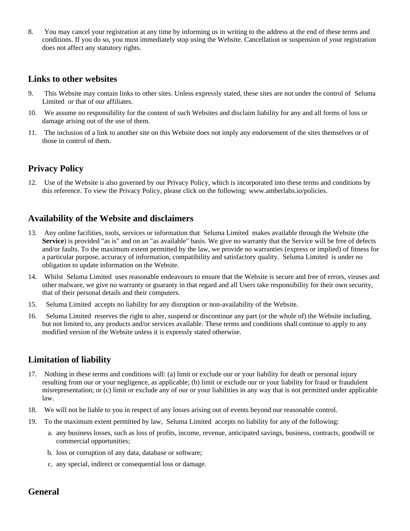8. You may cancel your registration at any time by informing us in writing to the address at the end of these terms and conditions. If you do so, you must immediately stop using the Website. Cancellation or suspension of your registration does not affect any statutory rights.

#### **Links to other websites**

- 9. This Website may contain links to other sites. Unless expressly stated, these sites are not under the control of Seluma Limited or that of our affiliates.
- 10. We assume no responsibility for the content of such Websites and disclaim liability for any and all forms of loss or damage arising out of the use of them.
- 11. The inclusion of a link to another site on this Website does not imply any endorsement of the sites themselves or of those in control of them.

### **Privacy Policy**

12. Use of the Website is also governed by our Privacy Policy, which is incorporated into these terms and conditions by this reference. To view the Privacy Policy, please click on the following: www.amberlabs.io/policies.

### **Availability of the Website and disclaimers**

- 13. Any online facilities, tools, services or information that Seluma Limited makes available through the Website (the **Service**) is provided "as is" and on an "as available" basis. We give no warranty that the Service will be free of defects and/or faults. To the maximum extent permitted by the law, we provide no warranties (express or implied) of fitness for a particular purpose, accuracy of information, compatibility and satisfactory quality. Seluma Limited is under no obligation to update information on the Website.
- 14. Whilst Seluma Limited uses reasonable endeavours to ensure that the Website is secure and free of errors, viruses and other malware, we give no warranty or guaranty in that regard and all Users take responsibility for their own security, that of their personal details and their computers.
- 15. Seluma Limited accepts no liability for any disruption or non-availability of the Website.
- 16. Seluma Limited reserves the right to alter, suspend or discontinue any part (or the whole of) the Website including, but not limited to, any products and/or services available. These terms and conditions shall continue to apply to any modified version of the Website unless it is expressly stated otherwise.

#### **Limitation of liability**

- 17. Nothing in these terms and conditions will: (a) limit or exclude our or your liability for death or personal injury resulting from our or your negligence, as applicable; (b) limit or exclude our or your liability for fraud or fraudulent misrepresentation; or (c) limit or exclude any of our or your liabilities in any way that is not permitted under applicable law.
- 18. We will not be liable to you in respect of any losses arising out of events beyond our reasonable control.
- 19. To the maximum extent permitted by law, Seluma Limited accepts no liability for any of the following:
	- a. any business losses, such as loss of profits, income, revenue, anticipated savings, business, contracts, goodwill or commercial opportunities;
	- b. loss or corruption of any data, database or software;
	- c. any special, indirect or consequential loss or damage.

### **General**